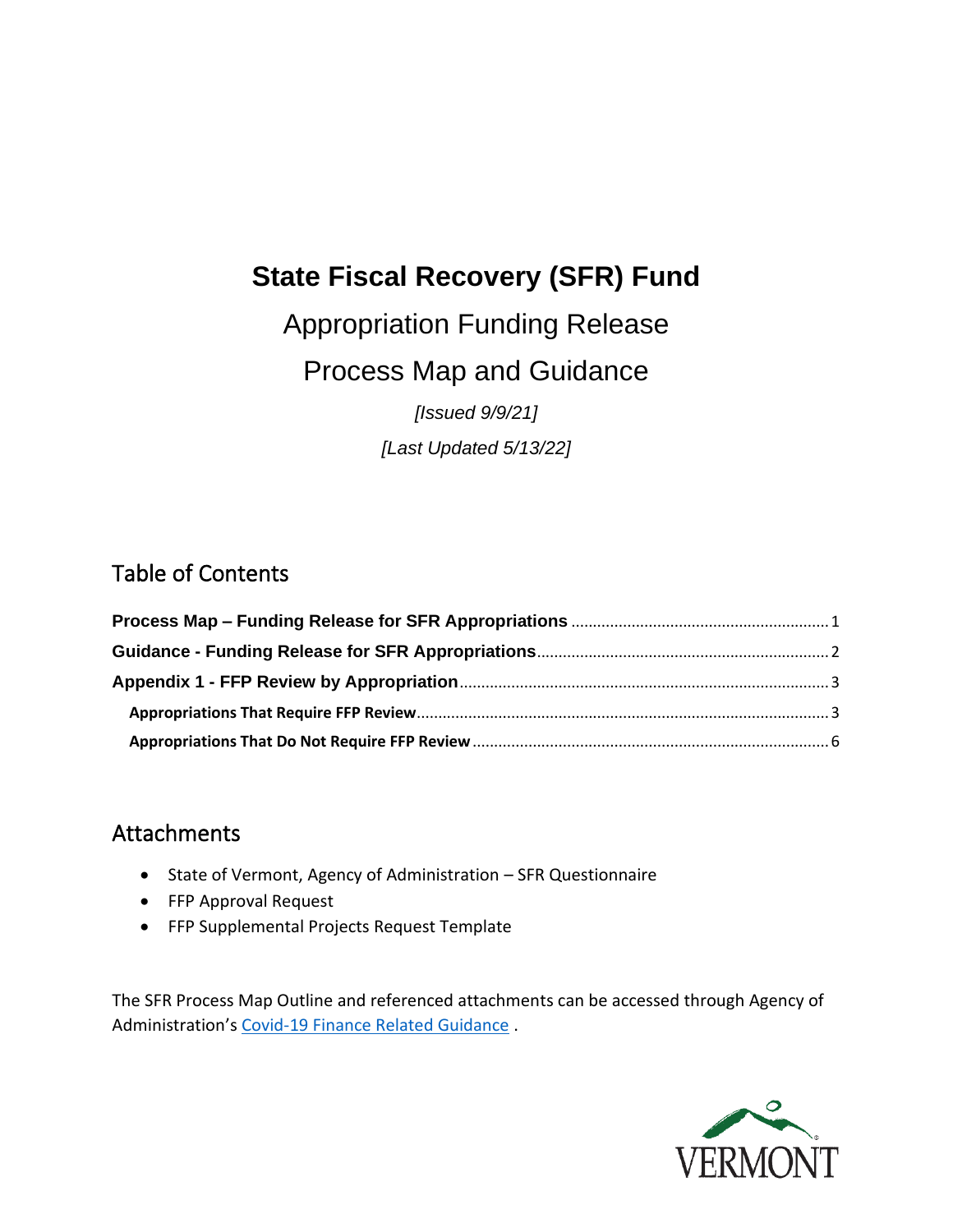# **State Fiscal Recovery (SFR) Fund**

Appropriation Funding Release

Process Map and Guidance

*[Issued 9/9/21]*

*[Last Updated 5/13/22]*

### Table of Contents

### Attachments

- State of Vermont, Agency of Administration SFR Questionnaire
- FFP Approval Request
- FFP Supplemental Projects Request Template

The SFR Process Map Outline and referenced attachments can be accessed through Agency of Administration's [Covid-19 Finance Related Guidance](https://finance.vermont.gov/covid-19-guidance) .

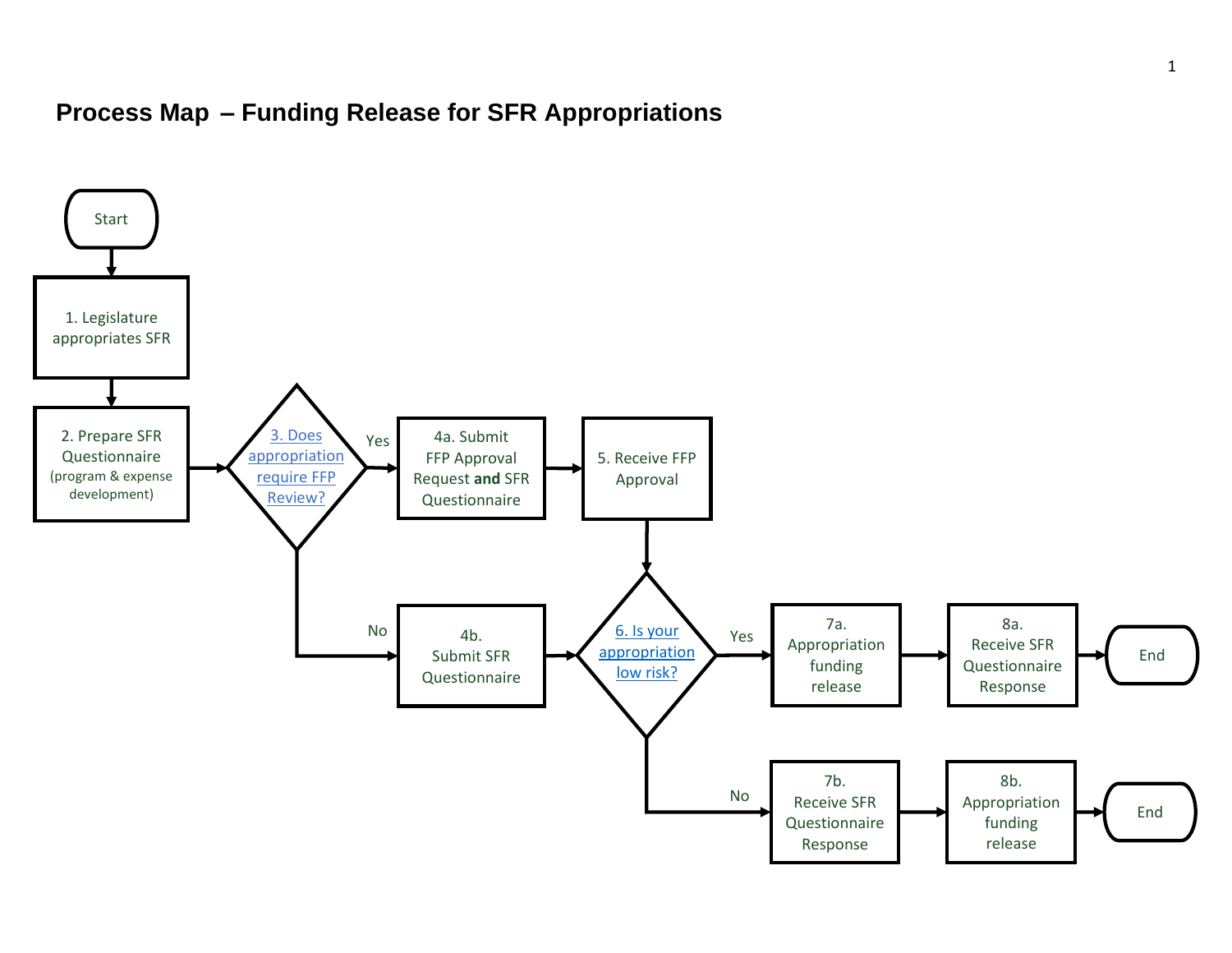## **Process Map – Funding Release for SFR Appropriations**

<span id="page-1-0"></span>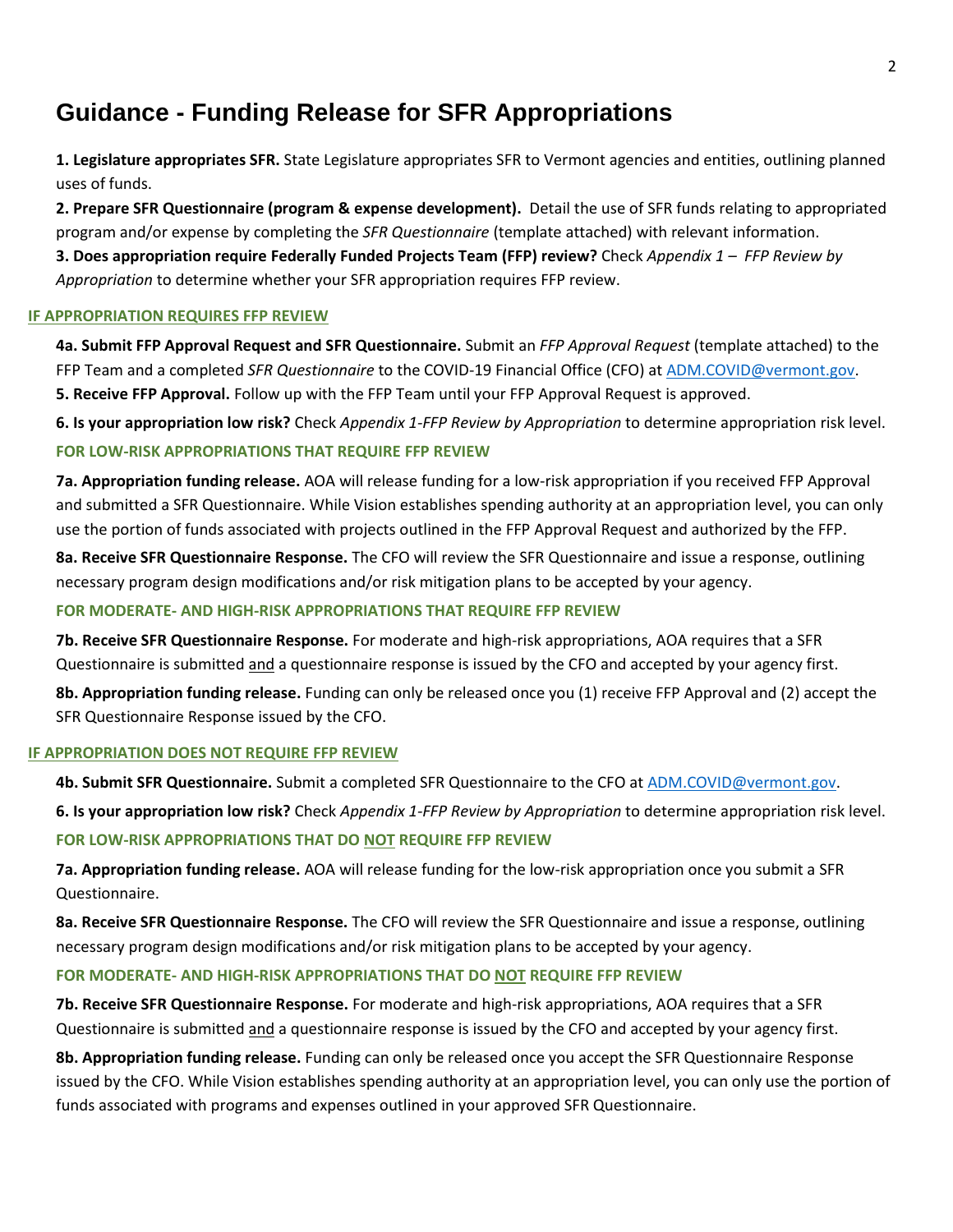### <span id="page-2-0"></span>**Guidance - Funding Release for SFR Appropriations**

**1. Legislature appropriates SFR.** State Legislature appropriates SFR to Vermont agencies and entities, outlining planned uses of funds.

**2. Prepare SFR Questionnaire (program & expense development).** Detail the use of SFR funds relating to appropriated program and/or expense by completing the *SFR Questionnaire* (template attached) with relevant information. **3. Does appropriation require Federally Funded Projects Team (FFP) review?** Check *Appendix 1 – FFP [Review by](#page-3-1)* 

*[Appropriation](#page-3-1)* to determine whether your SFR appropriation requires FFP review.

#### **IF APPROPRIATION REQUIRES FFP REVIEW**

**4a. Submit FFP Approval Request and SFR Questionnaire.** Submit an *FFP Approval Request* (template attached) to the FFP Team and a completed *SFR Questionnaire* to the COVID-19 Financial Office (CFO) at [ADM.COVID@vermont.gov.](mailto:ADM.COVID@vermont.gov) **5. Receive FFP Approval.** Follow up with the FFP Team until your FFP Approval Request is approved.

**6. Is your appropriation low risk?** Check *Appendix 1-FFP [Review by Appropriation](#page-3-1)* to determine appropriation risk level.

#### **FOR LOW-RISK APPROPRIATIONS THAT REQUIRE FFP REVIEW**

**7a. Appropriation funding release.** AOA will release funding for a low-risk appropriation if you received FFP Approval and submitted a SFR Questionnaire. While Vision establishes spending authority at an appropriation level, you can only use the portion of funds associated with projects outlined in the FFP Approval Request and authorized by the FFP.

**8a. Receive SFR Questionnaire Response.** The CFO will review the SFR Questionnaire and issue a response, outlining necessary program design modifications and/or risk mitigation plans to be accepted by your agency.

#### **FOR MODERATE- AND HIGH-RISK APPROPRIATIONS THAT REQUIRE FFP REVIEW**

**7b. Receive SFR Questionnaire Response.** For moderate and high-risk appropriations, AOA requires that a SFR Questionnaire is submitted and a questionnaire response is issued by the CFO and accepted by your agency first.

**8b. Appropriation funding release.** Funding can only be released once you (1) receive FFP Approval and (2) accept the SFR Questionnaire Response issued by the CFO.

#### **IF APPROPRIATION DOES NOT REQUIRE FFP REVIEW**

**4b. Submit SFR Questionnaire.** Submit a completed SFR Questionnaire to the CFO at [ADM.COVID@vermont.gov.](mailto:ADM.COVID@vermont.gov)

**6. Is your appropriation low risk?** Check *Appendix 1-FFP [Review by Appropriation](#page-3-1)* to determine appropriation risk level.

#### **FOR LOW-RISK APPROPRIATIONS THAT DO NOT REQUIRE FFP REVIEW**

**7a. Appropriation funding release.** AOA will release funding for the low-risk appropriation once you submit a SFR Questionnaire.

**8a. Receive SFR Questionnaire Response.** The CFO will review the SFR Questionnaire and issue a response, outlining necessary program design modifications and/or risk mitigation plans to be accepted by your agency.

#### **FOR MODERATE- AND HIGH-RISK APPROPRIATIONS THAT DO NOT REQUIRE FFP REVIEW**

**7b. Receive SFR Questionnaire Response.** For moderate and high-risk appropriations, AOA requires that a SFR Questionnaire is submitted and a questionnaire response is issued by the CFO and accepted by your agency first.

**8b. Appropriation funding release.** Funding can only be released once you accept the SFR Questionnaire Response issued by the CFO. While Vision establishes spending authority at an appropriation level, you can only use the portion of funds associated with programs and expenses outlined in your approved SFR Questionnaire.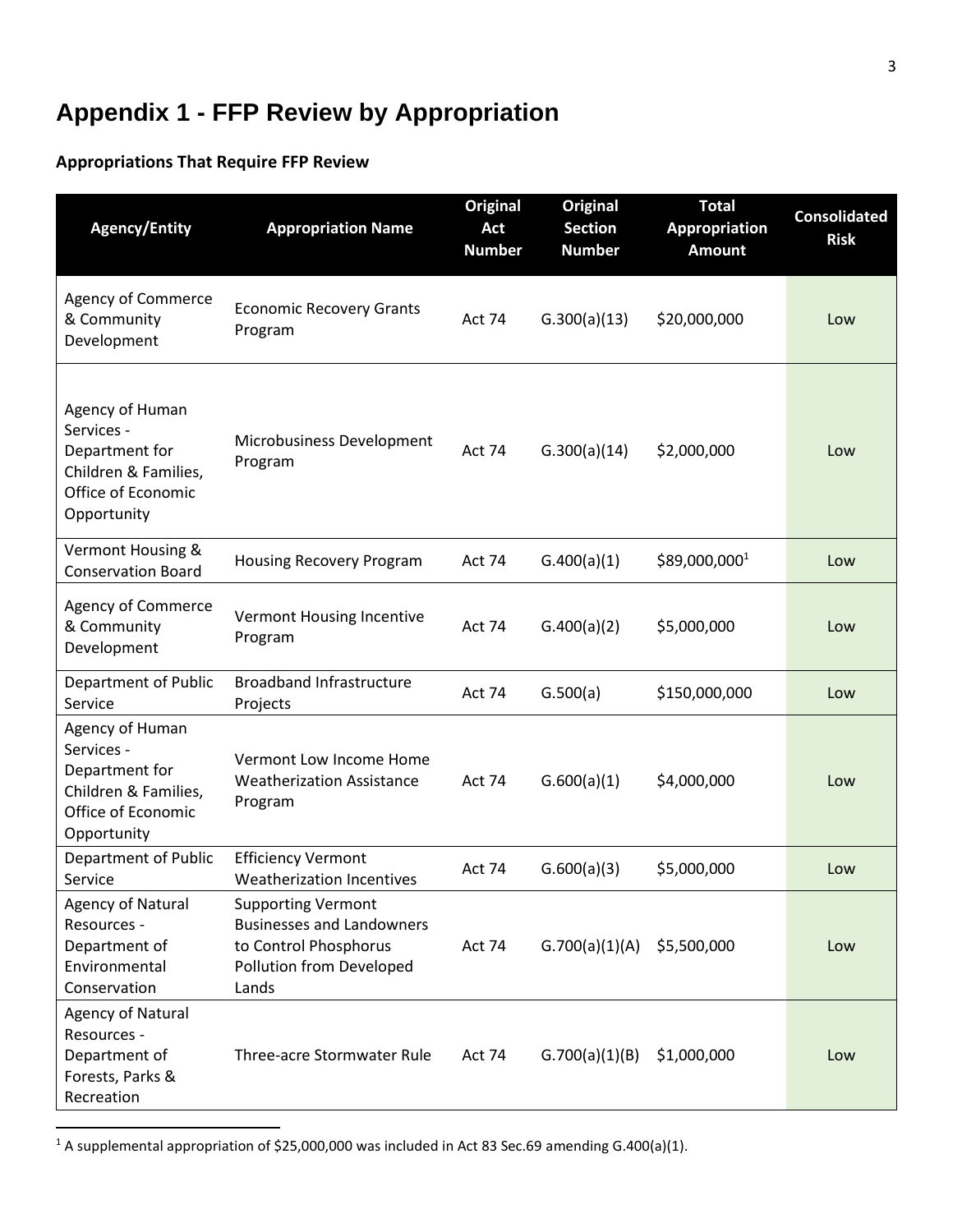# <span id="page-3-0"></span>**Appendix 1 - FFP Review by Appropriation**

### <span id="page-3-1"></span>**Appropriations That Require FFP Review**

| <b>Agency/Entity</b>                                                                                         | <b>Appropriation Name</b>                                                                                                   | <b>Original</b><br><b>Act</b><br><b>Number</b> | <b>Original</b><br><b>Section</b><br><b>Number</b> | <b>Total</b><br><b>Appropriation</b><br><b>Amount</b> | <b>Consolidated</b><br><b>Risk</b> |
|--------------------------------------------------------------------------------------------------------------|-----------------------------------------------------------------------------------------------------------------------------|------------------------------------------------|----------------------------------------------------|-------------------------------------------------------|------------------------------------|
| <b>Agency of Commerce</b><br>& Community<br>Development                                                      | <b>Economic Recovery Grants</b><br>Program                                                                                  | Act 74                                         | G.300(a)(13)                                       | \$20,000,000                                          | Low                                |
| Agency of Human<br>Services -<br>Department for<br>Children & Families,<br>Office of Economic<br>Opportunity | Microbusiness Development<br>Program                                                                                        | Act 74                                         | G.300(a)(14)                                       | \$2,000,000                                           | Low                                |
| Vermont Housing &<br><b>Conservation Board</b>                                                               | Housing Recovery Program                                                                                                    | Act 74                                         | G.400(a)(1)                                        | \$89,000,0001                                         | Low                                |
| <b>Agency of Commerce</b><br>& Community<br>Development                                                      | Vermont Housing Incentive<br>Program                                                                                        | <b>Act 74</b>                                  | G.400(a)(2)                                        | \$5,000,000                                           | Low                                |
| Department of Public<br>Service                                                                              | <b>Broadband Infrastructure</b><br>Projects                                                                                 | Act 74                                         | G.500(a)                                           | \$150,000,000                                         | Low                                |
| Agency of Human<br>Services -<br>Department for<br>Children & Families,<br>Office of Economic<br>Opportunity | Vermont Low Income Home<br><b>Weatherization Assistance</b><br>Program                                                      | Act 74                                         | G.600(a)(1)                                        | \$4,000,000                                           | Low                                |
| Department of Public<br>Service                                                                              | <b>Efficiency Vermont</b><br><b>Weatherization Incentives</b>                                                               | Act 74                                         | G.600(a)(3)                                        | \$5,000,000                                           | Low                                |
| <b>Agency of Natural</b><br>Resources -<br>Department of<br>Environmental<br>Conservation                    | <b>Supporting Vermont</b><br><b>Businesses and Landowners</b><br>to Control Phosphorus<br>Pollution from Developed<br>Lands | Act 74                                         | G.700(a)(1)(A)                                     | \$5,500,000                                           | Low                                |
| Agency of Natural<br>Resources -<br>Department of<br>Forests, Parks &<br>Recreation                          | Three-acre Stormwater Rule                                                                                                  | Act 74                                         | G.700(a)(1)(B)                                     | \$1,000,000                                           | Low                                |

<sup>1</sup> A supplemental appropriation of \$25,000,000 was included in Act 83 Sec.69 amending G.400(a)(1).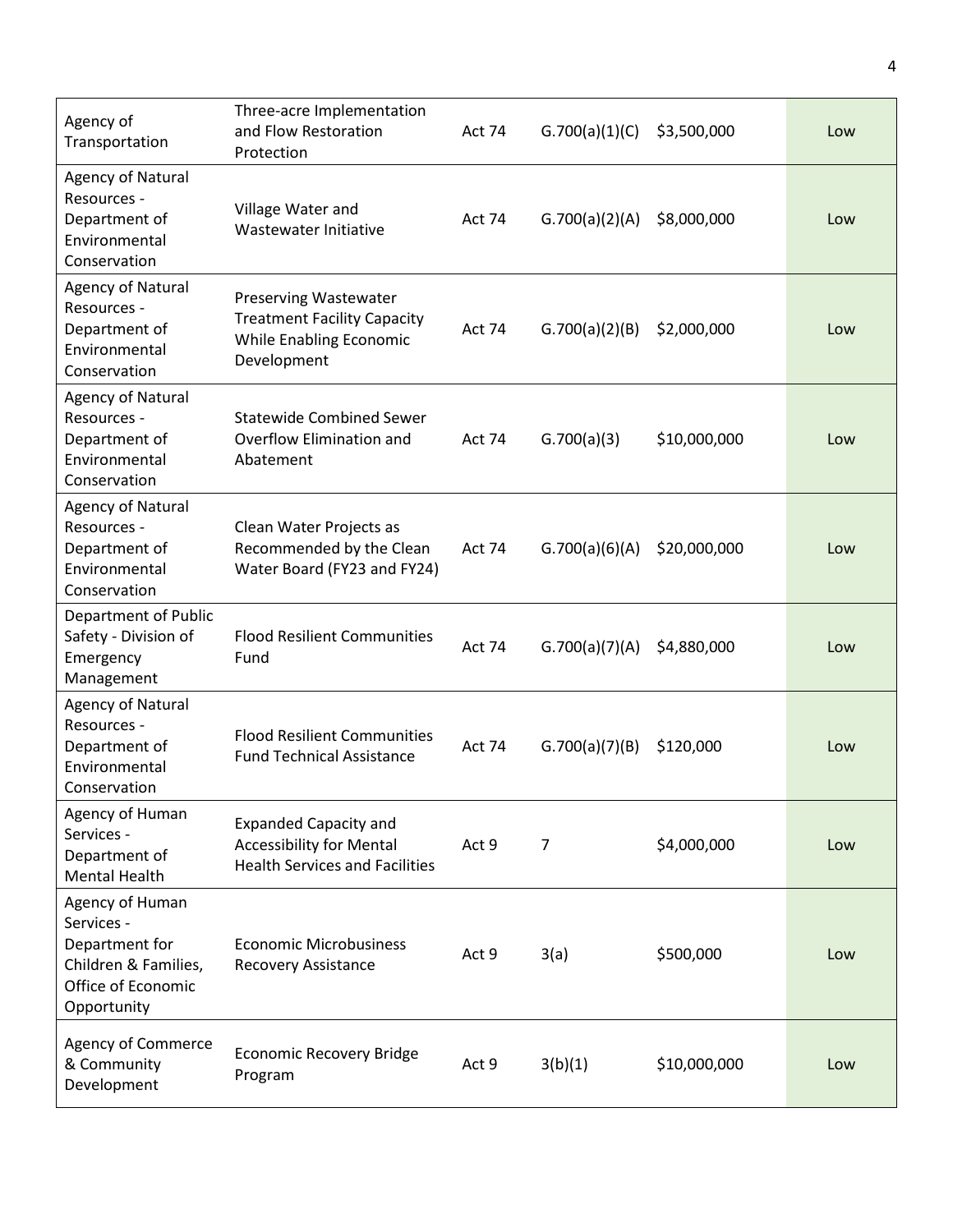| Agency of<br>Transportation                                                                                  | Three-acre Implementation<br>and Flow Restoration<br>Protection                                              | Act 74        | G.700(a)(1)(C) | \$3,500,000  | Low |
|--------------------------------------------------------------------------------------------------------------|--------------------------------------------------------------------------------------------------------------|---------------|----------------|--------------|-----|
| Agency of Natural<br>Resources -<br>Department of<br>Environmental<br>Conservation                           | Village Water and<br>Wastewater Initiative                                                                   | Act 74        | G.700(a)(2)(A) | \$8,000,000  | Low |
| <b>Agency of Natural</b><br>Resources -<br>Department of<br>Environmental<br>Conservation                    | <b>Preserving Wastewater</b><br><b>Treatment Facility Capacity</b><br>While Enabling Economic<br>Development | Act 74        | G.700(a)(2)(B) | \$2,000,000  | Low |
| <b>Agency of Natural</b><br>Resources -<br>Department of<br>Environmental<br>Conservation                    | <b>Statewide Combined Sewer</b><br>Overflow Elimination and<br>Abatement                                     | Act 74        | G.700(a)(3)    | \$10,000,000 | Low |
| <b>Agency of Natural</b><br>Resources -<br>Department of<br>Environmental<br>Conservation                    | Clean Water Projects as<br>Recommended by the Clean<br>Water Board (FY23 and FY24)                           | Act 74        | G.700(a)(6)(A) | \$20,000,000 | Low |
| Department of Public<br>Safety - Division of<br>Emergency<br>Management                                      | <b>Flood Resilient Communities</b><br>Fund                                                                   | <b>Act 74</b> | G.700(a)(7)(A) | \$4,880,000  | Low |
| Agency of Natural<br>Resources -<br>Department of<br>Environmental<br>Conservation                           | <b>Flood Resilient Communities</b><br><b>Fund Technical Assistance</b>                                       | Act 74        | G.700(a)(7)(B) | \$120,000    | Low |
| Agency of Human<br>Services -<br>Department of<br><b>Mental Health</b>                                       | <b>Expanded Capacity and</b><br><b>Accessibility for Mental</b><br><b>Health Services and Facilities</b>     | Act 9         | $\overline{7}$ | \$4,000,000  | Low |
| Agency of Human<br>Services -<br>Department for<br>Children & Families,<br>Office of Economic<br>Opportunity | <b>Economic Microbusiness</b><br>Recovery Assistance                                                         | Act 9         | 3(a)           | \$500,000    | Low |
| Agency of Commerce<br>& Community<br>Development                                                             | Economic Recovery Bridge<br>Program                                                                          | Act 9         | 3(b)(1)        | \$10,000,000 | Low |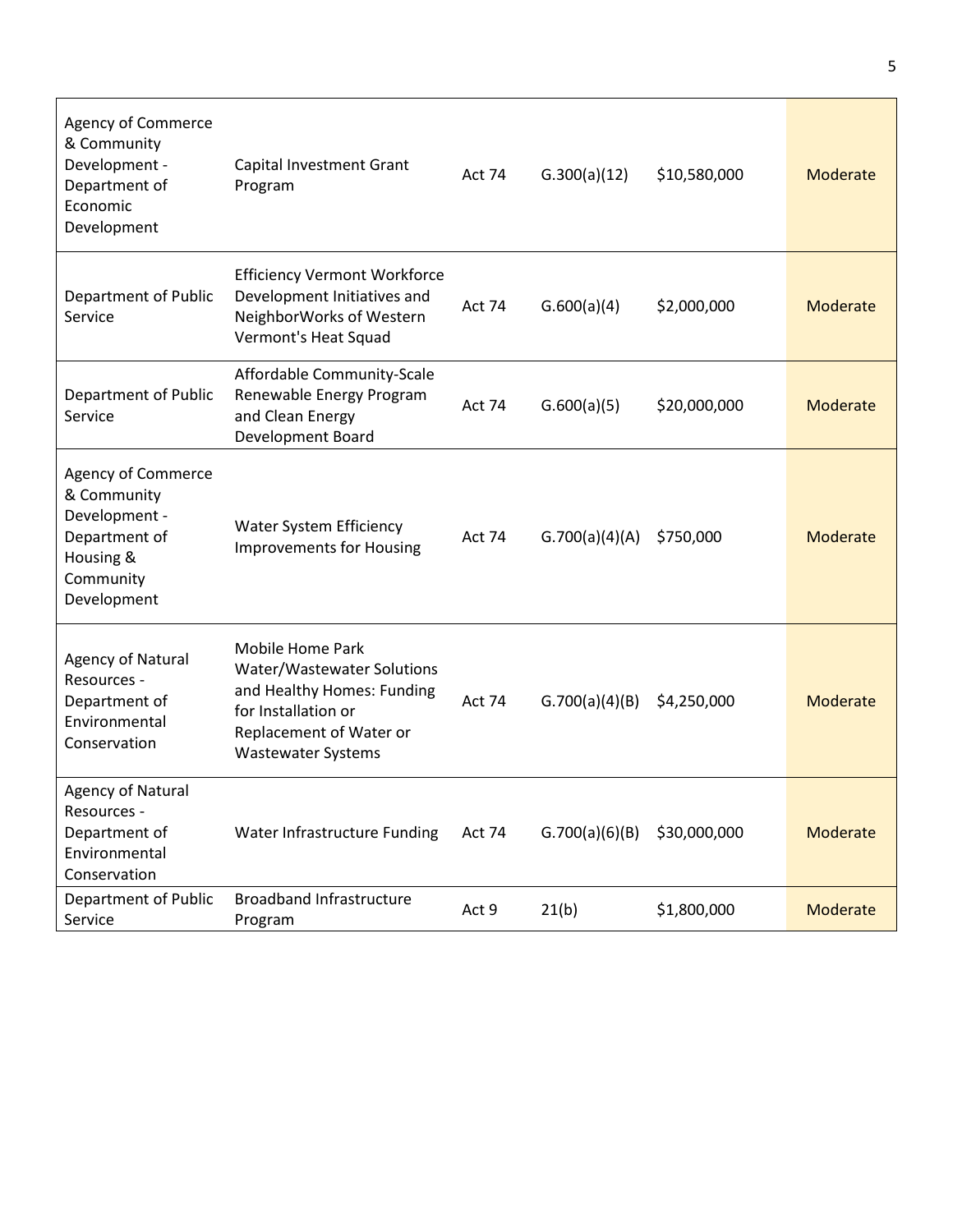| Agency of Commerce<br>& Community<br>Development -<br>Department of<br>Economic<br>Development               | Capital Investment Grant<br>Program                                                                                                                         | Act 74        | G.300(a)(12)   | \$10,580,000 | Moderate |
|--------------------------------------------------------------------------------------------------------------|-------------------------------------------------------------------------------------------------------------------------------------------------------------|---------------|----------------|--------------|----------|
| Department of Public<br>Service                                                                              | <b>Efficiency Vermont Workforce</b><br>Development Initiatives and<br>NeighborWorks of Western<br>Vermont's Heat Squad                                      | Act 74        | G.600(a)(4)    | \$2,000,000  | Moderate |
| Department of Public<br>Service                                                                              | Affordable Community-Scale<br>Renewable Energy Program<br>and Clean Energy<br>Development Board                                                             | Act 74        | G.600(a)(5)    | \$20,000,000 | Moderate |
| Agency of Commerce<br>& Community<br>Development -<br>Department of<br>Housing &<br>Community<br>Development | <b>Water System Efficiency</b><br><b>Improvements for Housing</b>                                                                                           | Act 74        | G.700(a)(4)(A) | \$750,000    | Moderate |
| <b>Agency of Natural</b><br>Resources -<br>Department of<br>Environmental<br>Conservation                    | Mobile Home Park<br>Water/Wastewater Solutions<br>and Healthy Homes: Funding<br>for Installation or<br>Replacement of Water or<br><b>Wastewater Systems</b> | <b>Act 74</b> | G.700(a)(4)(B) | \$4,250,000  | Moderate |
| Agency of Natural<br>Resources -<br>Department of<br>Environmental<br>Conservation                           | Water Infrastructure Funding                                                                                                                                | Act 74        | G.700(a)(6)(B) | \$30,000,000 | Moderate |
| Department of Public<br>Service                                                                              | <b>Broadband Infrastructure</b><br>Program                                                                                                                  | Act 9         | 21(b)          | \$1,800,000  | Moderate |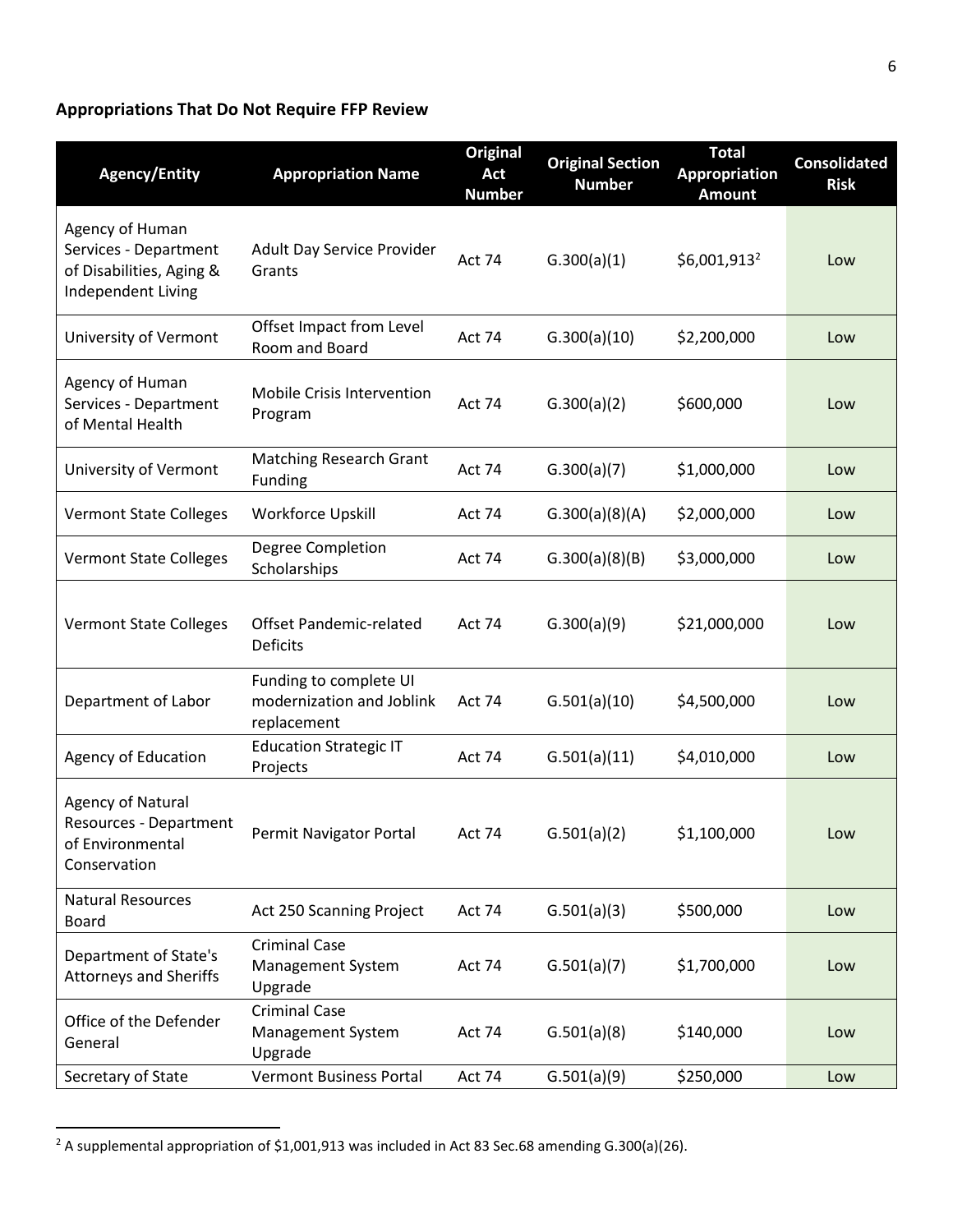### <span id="page-6-0"></span>**Appropriations That Do Not Require FFP Review**

| <b>Agency/Entity</b>                                                                       | <b>Appropriation Name</b>                                          | <b>Original</b><br>Act<br><b>Number</b> | <b>Original Section</b><br><b>Number</b> | <b>Total</b><br><b>Appropriation</b><br><b>Amount</b> | <b>Consolidated</b><br><b>Risk</b> |
|--------------------------------------------------------------------------------------------|--------------------------------------------------------------------|-----------------------------------------|------------------------------------------|-------------------------------------------------------|------------------------------------|
| Agency of Human<br>Services - Department<br>of Disabilities, Aging &<br>Independent Living | Adult Day Service Provider<br>Grants                               | Act 74                                  | G.300(a)(1)                              | $$6,001,913^2$                                        | Low                                |
| University of Vermont                                                                      | Offset Impact from Level<br>Room and Board                         | <b>Act 74</b>                           | G.300(a)(10)                             | \$2,200,000                                           | Low                                |
| Agency of Human<br>Services - Department<br>of Mental Health                               | Mobile Crisis Intervention<br>Program                              | Act 74                                  | G.300(a)(2)                              | \$600,000                                             | Low                                |
| University of Vermont                                                                      | <b>Matching Research Grant</b><br>Funding                          | Act 74                                  | G.300(a)(7)                              | \$1,000,000                                           | Low                                |
| <b>Vermont State Colleges</b>                                                              | Workforce Upskill                                                  | <b>Act 74</b>                           | G.300(a)(8)(A)                           | \$2,000,000                                           | Low                                |
| <b>Vermont State Colleges</b>                                                              | Degree Completion<br>Scholarships                                  | Act 74                                  | G.300(a)(8)(B)                           | \$3,000,000                                           | Low                                |
| <b>Vermont State Colleges</b>                                                              | <b>Offset Pandemic-related</b><br><b>Deficits</b>                  | Act 74                                  | G.300(a)(9)                              | \$21,000,000                                          | Low                                |
| Department of Labor                                                                        | Funding to complete UI<br>modernization and Joblink<br>replacement | Act 74                                  | G.501(a)(10)                             | \$4,500,000                                           | Low                                |
| Agency of Education                                                                        | <b>Education Strategic IT</b><br>Projects                          | Act 74                                  | G.501(a)(11)                             | \$4,010,000                                           | Low                                |
| <b>Agency of Natural</b><br>Resources - Department<br>of Environmental<br>Conservation     | Permit Navigator Portal                                            | Act 74                                  | G.501(a)(2)                              | \$1,100,000                                           | Low                                |
| <b>Natural Resources</b><br>Board                                                          | Act 250 Scanning Project                                           | Act 74                                  | G.501(a)(3)                              | \$500,000                                             | Low                                |
| Department of State's<br><b>Attorneys and Sheriffs</b>                                     | <b>Criminal Case</b><br>Management System<br>Upgrade               | Act 74                                  | G.501(a)(7)                              | \$1,700,000                                           | Low                                |
| Office of the Defender<br>General                                                          | <b>Criminal Case</b><br>Management System<br>Upgrade               | Act 74                                  | G.501(a)(8)                              | \$140,000                                             | Low                                |
| Secretary of State                                                                         | <b>Vermont Business Portal</b>                                     | Act 74                                  | G.501(a)(9)                              | \$250,000                                             | Low                                |

<sup>&</sup>lt;sup>2</sup> A supplemental appropriation of \$1,001,913 was included in Act 83 Sec.68 amending G.300(a)(26).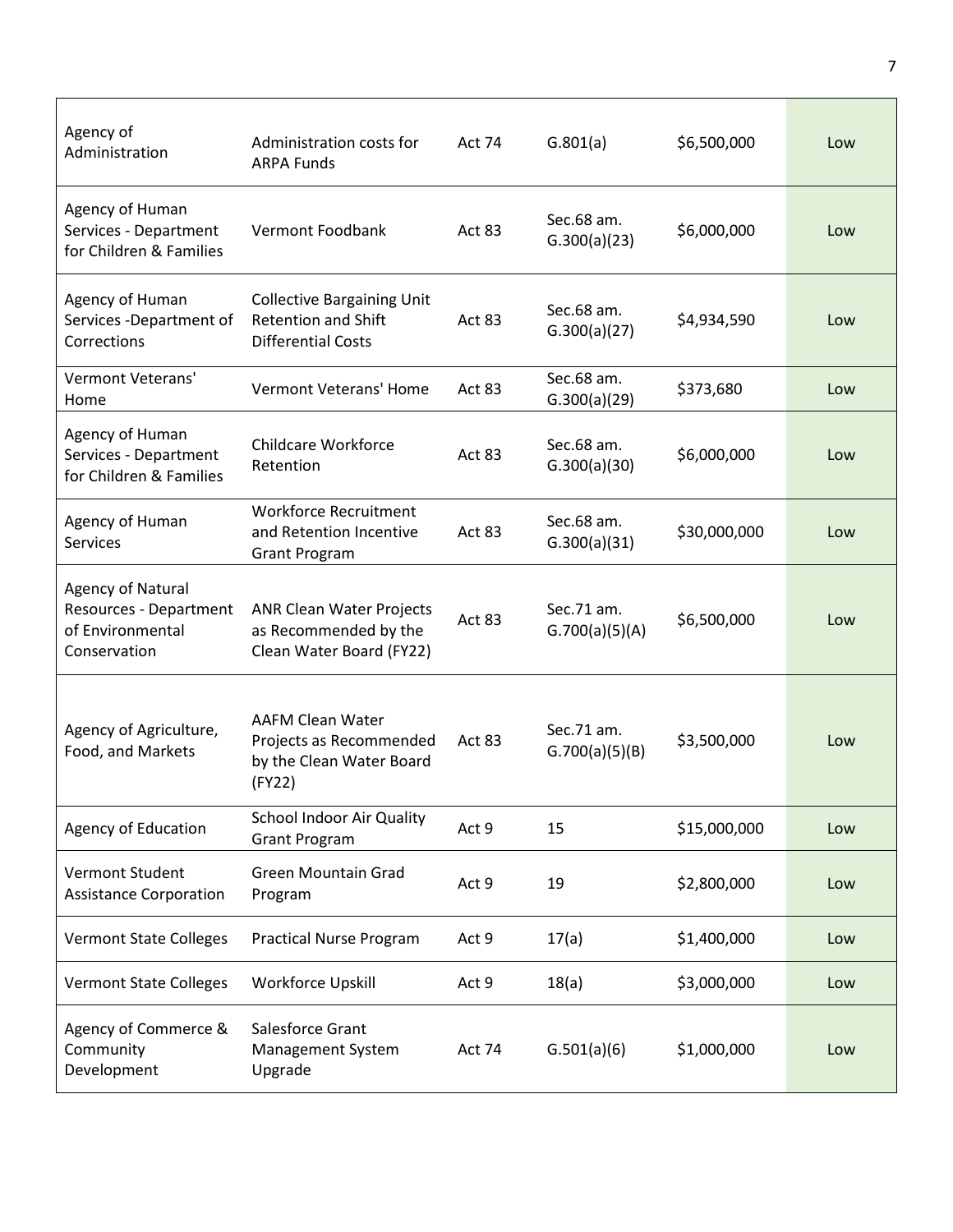| Agency of<br>Administration                                                            | Administration costs for<br><b>ARPA Funds</b>                                                | <b>Act 74</b> | G.801(a)                     | \$6,500,000  | Low |
|----------------------------------------------------------------------------------------|----------------------------------------------------------------------------------------------|---------------|------------------------------|--------------|-----|
| Agency of Human<br>Services - Department<br>for Children & Families                    | Vermont Foodbank                                                                             | Act 83        | Sec.68 am.<br>G.300(a)(23)   | \$6,000,000  | Low |
| Agency of Human<br>Services - Department of<br>Corrections                             | <b>Collective Bargaining Unit</b><br><b>Retention and Shift</b><br><b>Differential Costs</b> | Act 83        | Sec.68 am.<br>G.300(a)(27)   | \$4,934,590  | Low |
| Vermont Veterans'<br>Home                                                              | <b>Vermont Veterans' Home</b>                                                                | Act 83        | Sec.68 am.<br>G.300(a)(29)   | \$373,680    | Low |
| Agency of Human<br>Services - Department<br>for Children & Families                    | <b>Childcare Workforce</b><br>Retention                                                      | <b>Act 83</b> | Sec.68 am.<br>G.300(a)(30)   | \$6,000,000  | Low |
| Agency of Human<br><b>Services</b>                                                     | <b>Workforce Recruitment</b><br>and Retention Incentive<br><b>Grant Program</b>              | Act 83        | Sec.68 am.<br>G.300(a)(31)   | \$30,000,000 | Low |
| <b>Agency of Natural</b><br>Resources - Department<br>of Environmental<br>Conservation | <b>ANR Clean Water Projects</b><br>as Recommended by the<br>Clean Water Board (FY22)         | Act 83        | Sec.71 am.<br>G.700(a)(5)(A) | \$6,500,000  | Low |
| Agency of Agriculture,<br>Food, and Markets                                            | <b>AAFM Clean Water</b><br>Projects as Recommended<br>by the Clean Water Board<br>(FY22)     | Act 83        | Sec.71 am.<br>G.700(a)(5)(B) | \$3,500,000  | Low |
| <b>Agency of Education</b>                                                             | <b>School Indoor Air Quality</b><br><b>Grant Program</b>                                     | Act 9         | 15                           | \$15,000,000 | Low |
| Vermont Student<br><b>Assistance Corporation</b>                                       | <b>Green Mountain Grad</b><br>Program                                                        | Act 9         | 19                           | \$2,800,000  | Low |
| <b>Vermont State Colleges</b>                                                          | <b>Practical Nurse Program</b>                                                               | Act 9         | 17(a)                        | \$1,400,000  | Low |
| <b>Vermont State Colleges</b>                                                          | Workforce Upskill                                                                            | Act 9         | 18(a)                        | \$3,000,000  | Low |
| Agency of Commerce &<br>Community<br>Development                                       | Salesforce Grant<br>Management System<br>Upgrade                                             | Act 74        | G.501(a)(6)                  | \$1,000,000  | Low |